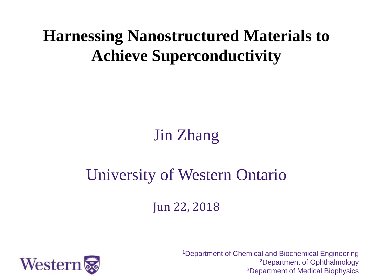## **Harnessing Nanostructured Materials to Achieve Superconductivity**

Jin Zhang

### University of Western Ontario

Jun 22, 2018



<sup>1</sup>Department of Chemical and Biochemical Engineering <sup>2</sup>Department of Ophthalmology 3Department of Medical Biophysics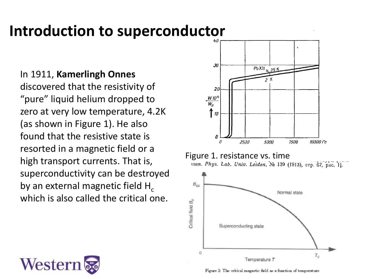### **Introduction to superconductor**

#### In 1911, **Kamerlingh Onnes**

discovered that the resistivity of "pure" liquid helium dropped to zero at very low temperature, 4.2K (as shown in Figure 1). He also found that the resistive state is resorted in a magnetic field or a high transport currents. That is, superconductivity can be destroyed by an external magnetic field  $H_c$ which is also called the critical one.



#### Figure 1. resistance vs. time<br>mun. Phys. Lab. Univ. Leiden, No. 139 (1913), crp. 67, puc. 11.







Figure 2: The critical magnetic field as a function of temperature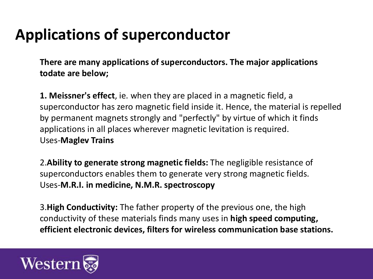## **Applications of superconductor**

**There are many applications of superconductors. The major applications todate are below;**

**1. Meissner's effect**, ie. when they are placed in a magnetic field, a superconductor has zero magnetic field inside it. Hence, the material is repelled by permanent magnets strongly and "perfectly" by virtue of which it finds applications in all places wherever magnetic levitation is required. Uses-**Maglev Trains**

2.**Ability to generate strong magnetic fields:** The negligible resistance of superconductors enables them to generate very strong magnetic fields. Uses-**M.R.I. in medicine, N.M.R. spectroscopy**

3.**High Conductivity:** The father property of the previous one, the high conductivity of these materials finds many uses in **high speed computing, efficient electronic devices, filters for wireless communication base stations.**

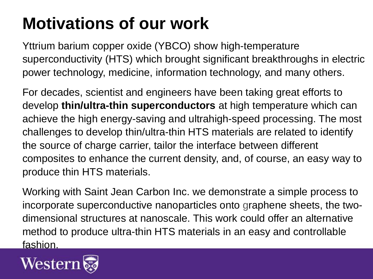# **Motivations of our work**

Yttrium barium copper oxide (YBCO) show high-temperature superconductivity (HTS) which brought significant breakthroughs in electric power technology, medicine, information technology, and many others.

For decades, scientist and engineers have been taking great efforts to develop **thin/ultra-thin superconductors** at high temperature which can achieve the high energy-saving and ultrahigh-speed processing. The most challenges to develop thin/ultra-thin HTS materials are related to identify the source of charge carrier, tailor the interface between different composites to enhance the current density, and, of course, an easy way to produce thin HTS materials.

Working with Saint Jean Carbon Inc. we demonstrate a simple process to incorporate superconductive nanoparticles onto graphene sheets, the twodimensional structures at nanoscale. This work could offer an alternative method to produce ultra-thin HTS materials in an easy and controllable fashion.

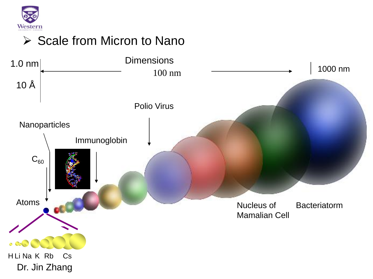

#### ➢ Scale from Micron to Nano

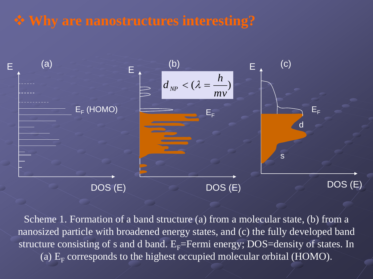### ❖ **Why are nanostructures interesting?**



Scheme 1. Formation of a band structure (a) from a molecular state, (b) from a nanosized particle with broadened energy states, and (c) the fully developed band structure consisting of s and d band.  $E_F$ =Fermi energy; DOS=density of states. In (a)  $E_F$  corresponds to the highest occupied molecular orbital (HOMO).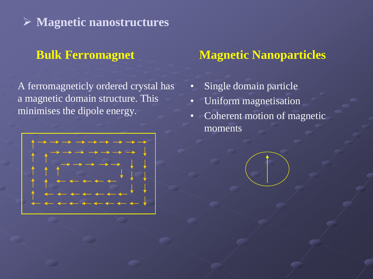#### ➢ **Magnetic nanostructures**

#### **Bulk Ferromagnet**

A ferromagneticly ordered crystal has a magnetic domain structure. This minimises the dipole energy.



#### **Magnetic Nanoparticles**

- Single domain particle
- Uniform magnetisation
- Coherent motion of magnetic moments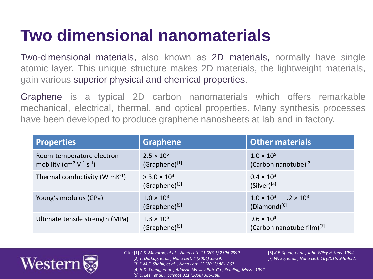## **Two dimensional nanomaterials**

Two-dimensional materials, also known as 2D materials, normally have single atomic layer. This unique structure makes 2D materials, the lightweight materials, gain various superior physical and chemical properties.

Graphene is a typical 2D carbon nanomaterials which offers remarkable mechanical, electrical, thermal, and optical properties. Many synthesis processes have been developed to produce graphene nanosheets at lab and in factory.

| <b>Properties</b>                                            | <b>Graphene</b>                                        | <b>Other materials</b>                                            |
|--------------------------------------------------------------|--------------------------------------------------------|-------------------------------------------------------------------|
| Room-temperature electron<br>mobility $(cm^2 V^{-1} s^{-1})$ | $2.5 \times 10^{5}$<br>$(Graphene)^{[1]}$              | $1.0 \times 10^{5}$<br>(Carbon nanotube) $[2]$                    |
| Thermal conductivity (W $mK^{-1}$ )                          | $>$ 3.0 $\times$ 10 <sup>3</sup><br>$(Graphene)^{[3]}$ | $0.4 \times 10^{3}$<br>$(Silver)^{[4]}$                           |
| Young's modulus (GPa)                                        | $1.0 \times 10^{3}$<br>$(Graphene)^{[5]}$              | $1.0 \times 10^3 - 1.2 \times 10^3$<br>$(Diamond)$ <sup>[6]</sup> |
| Ultimate tensile strength (MPa)                              | $1.3 \times 10^{5}$<br>$(Graphene)^{[5]}$              | $9.6 \times 10^{3}$<br>(Carbon nanotube film) <sup>[7]</sup>      |



Cite: [1] *A.S. Mayorov, et al. , Nano Lett. 11 (2011) 2396-2399*. [6] *K.E. Spear, et al. , John Wiley & Sons, 1994.* [2] *T. Dürkop, et al. , Nano Lett. 4 (2004) 35-39.* [7] *W. Xu, et al. , Nano Lett. 16 (2016) 946-952.* [3] *K.M.F. Shahil, et al. , Nano Lett. 12 (2012) 861-867* [4] *H.D. Young, et al. , Addison-Wesley Pub. Co., Reading, Mass., 1992.* [5] *C. Lee, et al. , Science 321 (2008) 385-388.*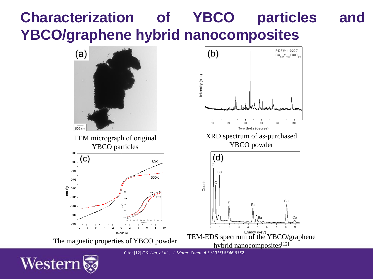### **Characterization of YBCO particles and YBCO/graphene hybrid nanocomposites**



Western